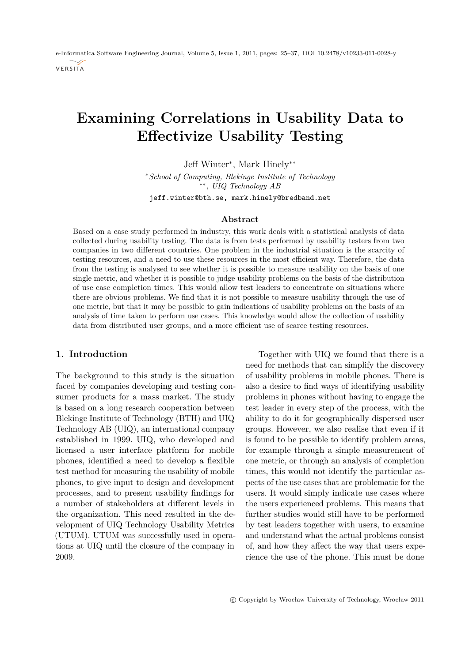e-Informatica Software Engineering Journal, Volume 5, Issue 1, 2011, pages: 25[–37,](#page-12-0) DOI [10.2478/v10233-011-0028-y](http://www.e-informatyka.pl/attach/e-Informatica_-_Volume_5/eInformatica2011Art2.pdf) VERSITA

# **Examining Correlations in Usability Data to Effectivize Usability Testing**

Jeff Winter<sup>∗</sup> , Mark Hinely∗∗

<sup>∗</sup>*School of Computing, Blekinge Institute of Technology* ∗∗*, UIQ Technology AB*

jeff.winter@bth.se, mark.hinely@bredband.net

#### **Abstract**

Based on a case study performed in industry, this work deals with a statistical analysis of data collected during usability testing. The data is from tests performed by usability testers from two companies in two different countries. One problem in the industrial situation is the scarcity of testing resources, and a need to use these resources in the most efficient way. Therefore, the data from the testing is analysed to see whether it is possible to measure usability on the basis of one single metric, and whether it is possible to judge usability problems on the basis of the distribution of use case completion times. This would allow test leaders to concentrate on situations where there are obvious problems. We find that it is not possible to measure usability through the use of one metric, but that it may be possible to gain indications of usability problems on the basis of an analysis of time taken to perform use cases. This knowledge would allow the collection of usability data from distributed user groups, and a more efficient use of scarce testing resources.

#### **1. Introduction**

The background to this study is the situation faced by companies developing and testing consumer products for a mass market. The study is based on a long research cooperation between Blekinge Institute of Technology (BTH) and UIQ Technology AB (UIQ), an international company established in 1999. UIQ, who developed and licensed a user interface platform for mobile phones, identified a need to develop a flexible test method for measuring the usability of mobile phones, to give input to design and development processes, and to present usability findings for a number of stakeholders at different levels in the organization. This need resulted in the development of UIQ Technology Usability Metrics (UTUM). UTUM was successfully used in operations at UIQ until the closure of the company in 2009.

Together with UIQ we found that there is a need for methods that can simplify the discovery of usability problems in mobile phones. There is also a desire to find ways of identifying usability problems in phones without having to engage the test leader in every step of the process, with the ability to do it for geographically dispersed user groups. However, we also realise that even if it is found to be possible to identify problem areas, for example through a simple measurement of one metric, or through an analysis of completion times, this would not identify the particular aspects of the use cases that are problematic for the users. It would simply indicate use cases where the users experienced problems. This means that further studies would still have to be performed by test leaders together with users, to examine and understand what the actual problems consist of, and how they affect the way that users experience the use of the phone. This must be done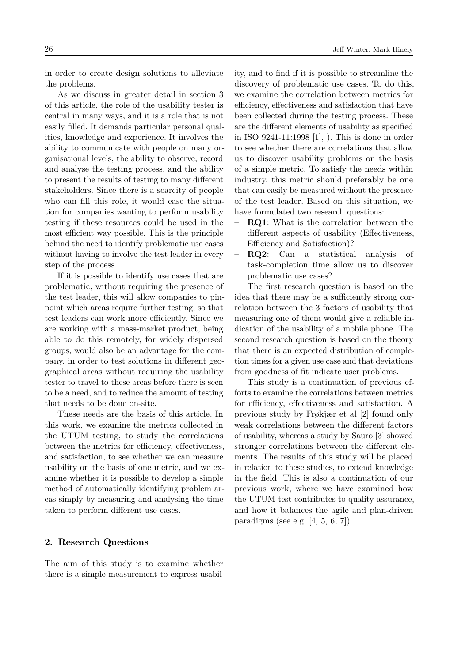in order to create design solutions to alleviate the problems.

As we discuss in greater detail in section 3 of this article, the role of the usability tester is central in many ways, and it is a role that is not easily filled. It demands particular personal qualities, knowledge and experience. It involves the ability to communicate with people on many organisational levels, the ability to observe, record and analyse the testing process, and the ability to present the results of testing to many different stakeholders. Since there is a scarcity of people who can fill this role, it would ease the situation for companies wanting to perform usability testing if these resources could be used in the most efficient way possible. This is the principle behind the need to identify problematic use cases without having to involve the test leader in every step of the process.

If it is possible to identify use cases that are problematic, without requiring the presence of the test leader, this will allow companies to pinpoint which areas require further testing, so that test leaders can work more efficiently. Since we are working with a mass-market product, being able to do this remotely, for widely dispersed groups, would also be an advantage for the company, in order to test solutions in different geographical areas without requiring the usability tester to travel to these areas before there is seen to be a need, and to reduce the amount of testing that needs to be done on-site.

These needs are the basis of this article. In this work, we examine the metrics collected in the UTUM testing, to study the correlations between the metrics for efficiency, effectiveness, and satisfaction, to see whether we can measure usability on the basis of one metric, and we examine whether it is possible to develop a simple method of automatically identifying problem areas simply by measuring and analysing the time taken to perform different use cases.

# **2. Research Questions**

The aim of this study is to examine whether there is a simple measurement to express usability, and to find if it is possible to streamline the discovery of problematic use cases. To do this, we examine the correlation between metrics for efficiency, effectiveness and satisfaction that have been collected during the testing process. These are the different elements of usability as specified in ISO 9241-11:1998 [\[1\]](#page-11-0), ). This is done in order to see whether there are correlations that allow us to discover usability problems on the basis of a simple metric. To satisfy the needs within industry, this metric should preferably be one that can easily be measured without the presence of the test leader. Based on this situation, we have formulated two research questions:

- **RQ1**: What is the correlation between the different aspects of usability (Effectiveness, Efficiency and Satisfaction)?
- **RQ2**: Can a statistical analysis of task-completion time allow us to discover problematic use cases?

The first research question is based on the idea that there may be a sufficiently strong correlation between the 3 factors of usability that measuring one of them would give a reliable indication of the usability of a mobile phone. The second research question is based on the theory that there is an expected distribution of completion times for a given use case and that deviations from goodness of fit indicate user problems.

This study is a continuation of previous efforts to examine the correlations between metrics for efficiency, effectiveness and satisfaction. A previous study by Frøkjær et al [\[2\]](#page-11-1) found only weak correlations between the different factors of usability, whereas a study by Sauro [\[3\]](#page-11-2) showed stronger correlations between the different elements. The results of this study will be placed in relation to these studies, to extend knowledge in the field. This is also a continuation of our previous work, where we have examined how the UTUM test contributes to quality assurance, and how it balances the agile and plan-driven paradigms (see e.g.  $[4, 5, 6, 7]$  $[4, 5, 6, 7]$  $[4, 5, 6, 7]$  $[4, 5, 6, 7]$ ).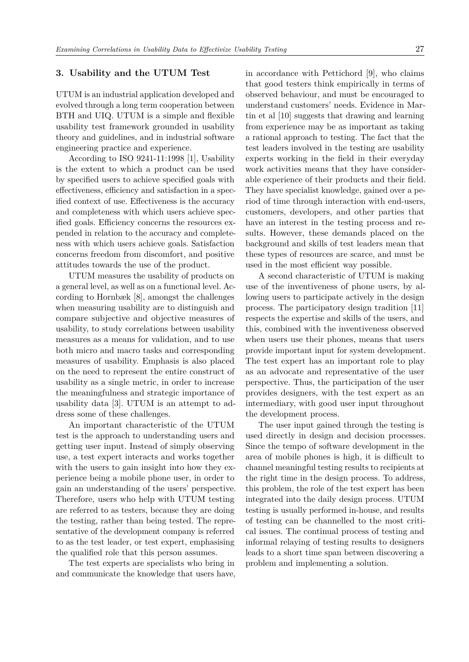#### **3. Usability and the UTUM Test**

UTUM is an industrial application developed and evolved through a long term cooperation between BTH and UIQ. UTUM is a simple and flexible usability test framework grounded in usability theory and guidelines, and in industrial software engineering practice and experience.

According to ISO 9241-11:1998 [\[1\]](#page-11-0), Usability is the extent to which a product can be used by specified users to achieve specified goals with effectiveness, efficiency and satisfaction in a specified context of use. Effectiveness is the accuracy and completeness with which users achieve specified goals. Efficiency concerns the resources expended in relation to the accuracy and completeness with which users achieve goals. Satisfaction concerns freedom from discomfort, and positive attitudes towards the use of the product.

UTUM measures the usability of products on a general level, as well as on a functional level. According to Hornbæk [\[8\]](#page-12-5), amongst the challenges when measuring usability are to distinguish and compare subjective and objective measures of usability, to study correlations between usability measures as a means for validation, and to use both micro and macro tasks and corresponding measures of usability. Emphasis is also placed on the need to represent the entire construct of usability as a single metric, in order to increase the meaningfulness and strategic importance of usability data [\[3\]](#page-11-2). UTUM is an attempt to address some of these challenges.

An important characteristic of the UTUM test is the approach to understanding users and getting user input. Instead of simply observing use, a test expert interacts and works together with the users to gain insight into how they experience being a mobile phone user, in order to gain an understanding of the users' perspective. Therefore, users who help with UTUM testing are referred to as testers, because they are doing the testing, rather than being tested. The representative of the development company is referred to as the test leader, or test expert, emphasising the qualified role that this person assumes.

The test experts are specialists who bring in and communicate the knowledge that users have, in accordance with Pettichord [\[9\]](#page-12-6), who claims that good testers think empirically in terms of observed behaviour, and must be encouraged to understand customers' needs. Evidence in Martin et al [\[10\]](#page-12-7) suggests that drawing and learning from experience may be as important as taking a rational approach to testing. The fact that the test leaders involved in the testing are usability experts working in the field in their everyday work activities means that they have considerable experience of their products and their field. They have specialist knowledge, gained over a period of time through interaction with end-users, customers, developers, and other parties that have an interest in the testing process and results. However, these demands placed on the background and skills of test leaders mean that these types of resources are scarce, and must be used in the most efficient way possible.

A second characteristic of UTUM is making use of the inventiveness of phone users, by allowing users to participate actively in the design process. The participatory design tradition [\[11\]](#page-12-8) respects the expertise and skills of the users, and this, combined with the inventiveness observed when users use their phones, means that users provide important input for system development. The test expert has an important role to play as an advocate and representative of the user perspective. Thus, the participation of the user provides designers, with the test expert as an intermediary, with good user input throughout the development process.

The user input gained through the testing is used directly in design and decision processes. Since the tempo of software development in the area of mobile phones is high, it is difficult to channel meaningful testing results to recipients at the right time in the design process. To address, this problem, the role of the test expert has been integrated into the daily design process. UTUM testing is usually performed in-house, and results of testing can be channelled to the most critical issues. The continual process of testing and informal relaying of testing results to designers leads to a short time span between discovering a problem and implementing a solution.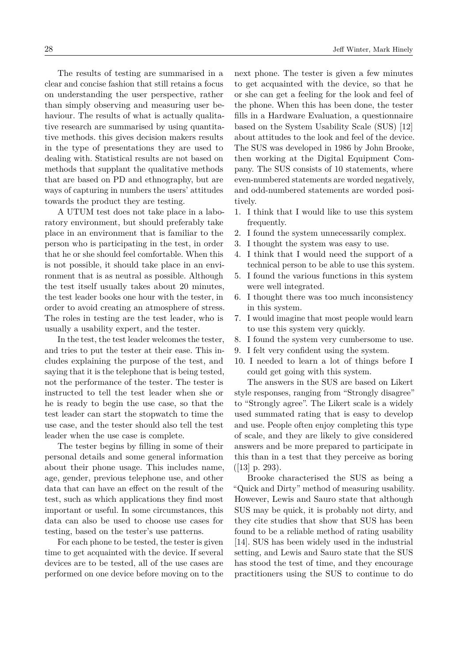The results of testing are summarised in a clear and concise fashion that still retains a focus on understanding the user perspective, rather than simply observing and measuring user behaviour. The results of what is actually qualitative research are summarised by using quantitative methods. this gives decision makers results in the type of presentations they are used to dealing with. Statistical results are not based on methods that supplant the qualitative methods that are based on PD and ethnography, but are ways of capturing in numbers the users' attitudes towards the product they are testing.

A UTUM test does not take place in a laboratory environment, but should preferably take place in an environment that is familiar to the person who is participating in the test, in order that he or she should feel comfortable. When this is not possible, it should take place in an environment that is as neutral as possible. Although the test itself usually takes about 20 minutes, the test leader books one hour with the tester, in order to avoid creating an atmosphere of stress. The roles in testing are the test leader, who is usually a usability expert, and the tester.

In the test, the test leader welcomes the tester, and tries to put the tester at their ease. This includes explaining the purpose of the test, and saying that it is the telephone that is being tested, not the performance of the tester. The tester is instructed to tell the test leader when she or he is ready to begin the use case, so that the test leader can start the stopwatch to time the use case, and the tester should also tell the test leader when the use case is complete.

The tester begins by filling in some of their personal details and some general information about their phone usage. This includes name, age, gender, previous telephone use, and other data that can have an effect on the result of the test, such as which applications they find most important or useful. In some circumstances, this data can also be used to choose use cases for testing, based on the tester's use patterns.

For each phone to be tested, the tester is given time to get acquainted with the device. If several devices are to be tested, all of the use cases are performed on one device before moving on to the next phone. The tester is given a few minutes to get acquainted with the device, so that he or she can get a feeling for the look and feel of the phone. When this has been done, the tester fills in a Hardware Evaluation, a questionnaire based on the System Usability Scale (SUS) [\[12\]](#page-12-9) about attitudes to the look and feel of the device. The SUS was developed in 1986 by John Brooke, then working at the Digital Equipment Company. The SUS consists of 10 statements, where even-numbered statements are worded negatively, and odd-numbered statements are worded positively.

- 1. I think that I would like to use this system frequently.
- 2. I found the system unnecessarily complex.
- 3. I thought the system was easy to use.
- 4. I think that I would need the support of a technical person to be able to use this system.
- 5. I found the various functions in this system were well integrated.
- 6. I thought there was too much inconsistency in this system.
- 7. I would imagine that most people would learn to use this system very quickly.
- 8. I found the system very cumbersome to use.
- 9. I felt very confident using the system.
- 10. I needed to learn a lot of things before I could get going with this system.

The answers in the SUS are based on Likert style responses, ranging from "Strongly disagree" to "Strongly agree". The Likert scale is a widely used summated rating that is easy to develop and use. People often enjoy completing this type of scale, and they are likely to give considered answers and be more prepared to participate in this than in a test that they perceive as boring ([\[13\]](#page-12-10) p. 293).

Brooke characterised the SUS as being a "Quick and Dirty" method of measuring usability. However, Lewis and Sauro state that although SUS may be quick, it is probably not dirty, and they cite studies that show that SUS has been found to be a reliable method of rating usability [\[14\]](#page-12-11). SUS has been widely used in the industrial setting, and Lewis and Sauro state that the SUS has stood the test of time, and they encourage practitioners using the SUS to continue to do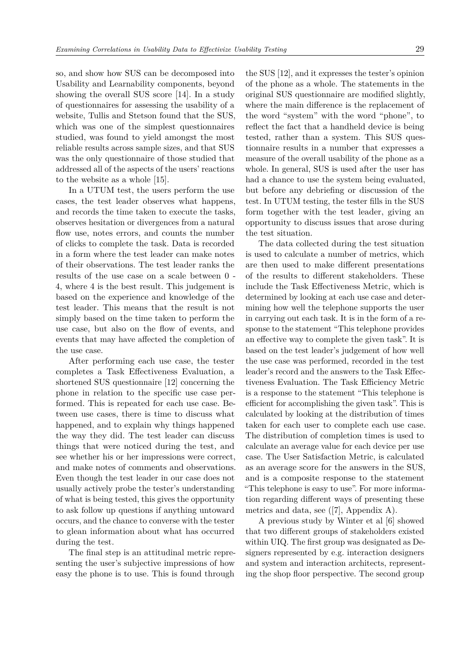so, and show how SUS can be decomposed into Usability and Learnability components, beyond showing the overall SUS score [\[14\]](#page-12-11). In a study of questionnaires for assessing the usability of a website, Tullis and Stetson found that the SUS, which was one of the simplest questionnaires studied, was found to yield amongst the most reliable results across sample sizes, and that SUS was the only questionnaire of those studied that addressed all of the aspects of the users' reactions to the website as a whole [\[15\]](#page-12-12).

In a UTUM test, the users perform the use cases, the test leader observes what happens, and records the time taken to execute the tasks, observes hesitation or divergences from a natural flow use, notes errors, and counts the number of clicks to complete the task. Data is recorded in a form where the test leader can make notes of their observations. The test leader ranks the results of the use case on a scale between 0 - 4, where 4 is the best result. This judgement is based on the experience and knowledge of the test leader. This means that the result is not simply based on the time taken to perform the use case, but also on the flow of events, and events that may have affected the completion of the use case.

After performing each use case, the tester completes a Task Effectiveness Evaluation, a shortened SUS questionnaire [\[12\]](#page-12-9) concerning the phone in relation to the specific use case performed. This is repeated for each use case. Between use cases, there is time to discuss what happened, and to explain why things happened the way they did. The test leader can discuss things that were noticed during the test, and see whether his or her impressions were correct, and make notes of comments and observations. Even though the test leader in our case does not usually actively probe the tester's understanding of what is being tested, this gives the opportunity to ask follow up questions if anything untoward occurs, and the chance to converse with the tester to glean information about what has occurred during the test.

The final step is an attitudinal metric representing the user's subjective impressions of how easy the phone is to use. This is found through

the SUS [\[12\]](#page-12-9), and it expresses the tester's opinion of the phone as a whole. The statements in the original SUS questionnaire are modified slightly, where the main difference is the replacement of the word "system" with the word "phone", to reflect the fact that a handheld device is being tested, rather than a system. This SUS questionnaire results in a number that expresses a measure of the overall usability of the phone as a whole. In general, SUS is used after the user has had a chance to use the system being evaluated, but before any debriefing or discussion of the test. In UTUM testing, the tester fills in the SUS form together with the test leader, giving an opportunity to discuss issues that arose during the test situation.

The data collected during the test situation is used to calculate a number of metrics, which are then used to make different presentations of the results to different stakeholders. These include the Task Effectiveness Metric, which is determined by looking at each use case and determining how well the telephone supports the user in carrying out each task. It is in the form of a response to the statement "This telephone provides an effective way to complete the given task". It is based on the test leader's judgement of how well the use case was performed, recorded in the test leader's record and the answers to the Task Effectiveness Evaluation. The Task Efficiency Metric is a response to the statement "This telephone is efficient for accomplishing the given task". This is calculated by looking at the distribution of times taken for each user to complete each use case. The distribution of completion times is used to calculate an average value for each device per use case. The User Satisfaction Metric, is calculated as an average score for the answers in the SUS, and is a composite response to the statement "This telephone is easy to use". For more information regarding different ways of presenting these metrics and data, see ([\[7\]](#page-12-4), Appendix A).

A previous study by Winter et al [\[6\]](#page-12-3) showed that two different groups of stakeholders existed within UIQ. The first group was designated as Designers represented by e.g. interaction designers and system and interaction architects, representing the shop floor perspective. The second group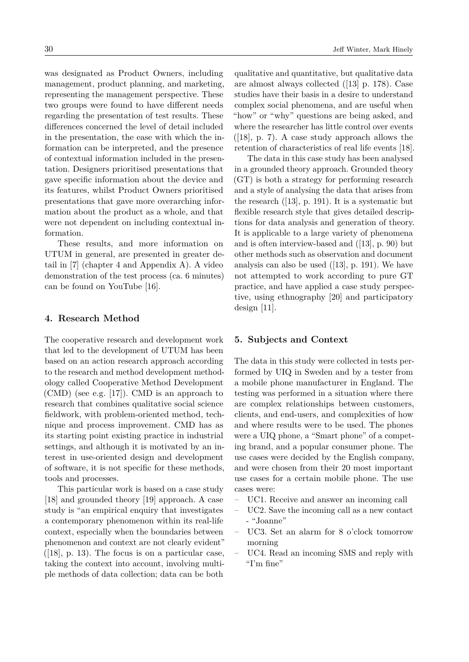was designated as Product Owners, including management, product planning, and marketing, representing the management perspective. These two groups were found to have different needs regarding the presentation of test results. These differences concerned the level of detail included in the presentation, the ease with which the information can be interpreted, and the presence of contextual information included in the presentation. Designers prioritised presentations that gave specific information about the device and its features, whilst Product Owners prioritised presentations that gave more overarching information about the product as a whole, and that were not dependent on including contextual information.

These results, and more information on UTUM in general, are presented in greater detail in [\[7\]](#page-12-4) (chapter 4 and Appendix A). A video demonstration of the test process (ca. 6 minutes) can be found on YouTube [\[16\]](#page-12-13).

#### **4. Research Method**

The cooperative research and development work that led to the development of UTUM has been based on an action research approach according to the research and method development methodology called Cooperative Method Development (CMD) (see e.g. [\[17\]](#page-12-14)). CMD is an approach to research that combines qualitative social science fieldwork, with problem-oriented method, technique and process improvement. CMD has as its starting point existing practice in industrial settings, and although it is motivated by an interest in use-oriented design and development of software, it is not specific for these methods, tools and processes.

This particular work is based on a case study [\[18\]](#page-12-15) and grounded theory [\[19\]](#page-12-16) approach. A case study is "an empirical enquiry that investigates a contemporary phenomenon within its real-life context, especially when the boundaries between phenomenon and context are not clearly evident"  $([18], p. 13)$  $([18], p. 13)$  $([18], p. 13)$ . The focus is on a particular case, taking the context into account, involving multiple methods of data collection; data can be both

qualitative and quantitative, but qualitative data are almost always collected ([\[13\]](#page-12-10) p. 178). Case studies have their basis in a desire to understand complex social phenomena, and are useful when "how" or "why" questions are being asked, and where the researcher has little control over events  $([18], p. 7)$  $([18], p. 7)$  $([18], p. 7)$ . A case study approach allows the retention of characteristics of real life events [\[18\]](#page-12-15).

The data in this case study has been analysed in a grounded theory approach. Grounded theory (GT) is both a strategy for performing research and a style of analysing the data that arises from the research ([\[13\]](#page-12-10), p. 191). It is a systematic but flexible research style that gives detailed descriptions for data analysis and generation of theory. It is applicable to a large variety of phenomena and is often interview-based and ([\[13\]](#page-12-10), p. 90) but other methods such as observation and document analysis can also be used  $([13], p. 191)$  $([13], p. 191)$  $([13], p. 191)$ . We have not attempted to work according to pure GT practice, and have applied a case study perspective, using ethnography [\[20\]](#page-12-17) and participatory design [\[11\]](#page-12-8).

## **5. Subjects and Context**

The data in this study were collected in tests performed by UIQ in Sweden and by a tester from a mobile phone manufacturer in England. The testing was performed in a situation where there are complex relationships between customers, clients, and end-users, and complexities of how and where results were to be used. The phones were a UIQ phone, a "Smart phone" of a competing brand, and a popular consumer phone. The use cases were decided by the English company, and were chosen from their 20 most important use cases for a certain mobile phone. The use cases were:

- UC1. Receive and answer an incoming call
- UC2. Save the incoming call as a new contact - "Joanne"
- UC3. Set an alarm for 8 o'clock tomorrow morning
- UC4. Read an incoming SMS and reply with "I'm fine"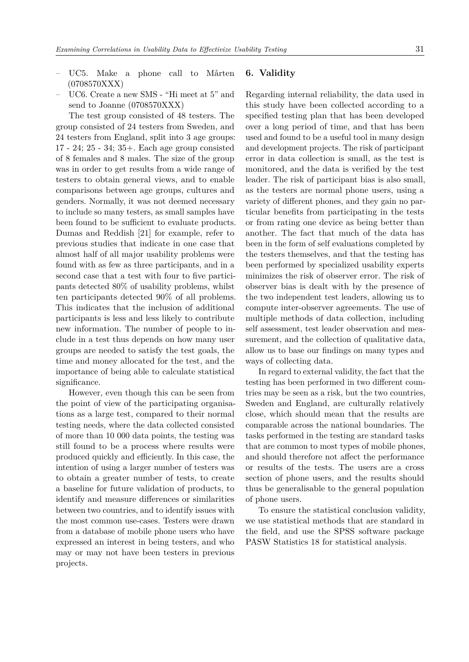- UC5. Make a phone call to Mårten (0708570XXX)
- UC6. Create a new SMS "Hi meet at 5" and send to Joanne (0708570XXX)

The test group consisted of 48 testers. The group consisted of 24 testers from Sweden, and 24 testers from England, split into 3 age groups: 17 - 24; 25 - 34; 35+. Each age group consisted of 8 females and 8 males. The size of the group was in order to get results from a wide range of testers to obtain general views, and to enable comparisons between age groups, cultures and genders. Normally, it was not deemed necessary to include so many testers, as small samples have been found to be sufficient to evaluate products. Dumas and Reddish [\[21\]](#page-12-18) for example, refer to previous studies that indicate in one case that almost half of all major usability problems were found with as few as three participants, and in a second case that a test with four to five participants detected 80% of usability problems, whilst ten participants detected 90% of all problems. This indicates that the inclusion of additional participants is less and less likely to contribute new information. The number of people to include in a test thus depends on how many user groups are needed to satisfy the test goals, the time and money allocated for the test, and the importance of being able to calculate statistical significance.

However, even though this can be seen from the point of view of the participating organisations as a large test, compared to their normal testing needs, where the data collected consisted of more than 10 000 data points, the testing was still found to be a process where results were produced quickly and efficiently. In this case, the intention of using a larger number of testers was to obtain a greater number of tests, to create a baseline for future validation of products, to identify and measure differences or similarities between two countries, and to identify issues with the most common use-cases. Testers were drawn from a database of mobile phone users who have expressed an interest in being testers, and who may or may not have been testers in previous projects.

# **6. Validity**

Regarding internal reliability, the data used in this study have been collected according to a specified testing plan that has been developed over a long period of time, and that has been used and found to be a useful tool in many design and development projects. The risk of participant error in data collection is small, as the test is monitored, and the data is verified by the test leader. The risk of participant bias is also small, as the testers are normal phone users, using a variety of different phones, and they gain no particular benefits from participating in the tests or from rating one device as being better than another. The fact that much of the data has been in the form of self evaluations completed by the testers themselves, and that the testing has been performed by specialized usability experts minimizes the risk of observer error. The risk of observer bias is dealt with by the presence of the two independent test leaders, allowing us to compute inter-observer agreements. The use of multiple methods of data collection, including self assessment, test leader observation and measurement, and the collection of qualitative data, allow us to base our findings on many types and ways of collecting data.

In regard to external validity, the fact that the testing has been performed in two different countries may be seen as a risk, but the two countries, Sweden and England, are culturally relatively close, which should mean that the results are comparable across the national boundaries. The tasks performed in the testing are standard tasks that are common to most types of mobile phones, and should therefore not affect the performance or results of the tests. The users are a cross section of phone users, and the results should thus be generalisable to the general population of phone users.

To ensure the statistical conclusion validity, we use statistical methods that are standard in the field, and use the SPSS software package PASW Statistics 18 for statistical analysis.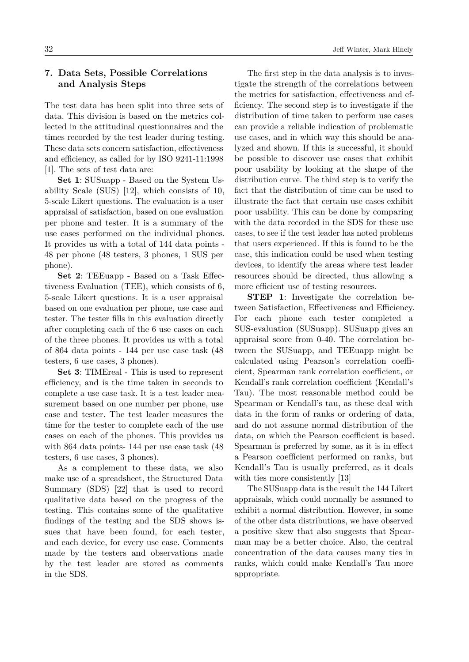# **7. Data Sets, Possible Correlations and Analysis Steps**

The test data has been split into three sets of data. This division is based on the metrics collected in the attitudinal questionnaires and the times recorded by the test leader during testing. These data sets concern satisfaction, effectiveness and efficiency, as called for by ISO 9241-11:1998 [\[1\]](#page-11-0). The sets of test data are:

**Set 1**: SUSuapp - Based on the System Usability Scale (SUS) [\[12\]](#page-12-9), which consists of 10, 5-scale Likert questions. The evaluation is a user appraisal of satisfaction, based on one evaluation per phone and tester. It is a summary of the use cases performed on the individual phones. It provides us with a total of 144 data points - 48 per phone (48 testers, 3 phones, 1 SUS per phone).

**Set 2**: TEEuapp - Based on a Task Effectiveness Evaluation (TEE), which consists of 6, 5-scale Likert questions. It is a user appraisal based on one evaluation per phone, use case and tester. The tester fills in this evaluation directly after completing each of the 6 use cases on each of the three phones. It provides us with a total of 864 data points - 144 per use case task (48 testers, 6 use cases, 3 phones).

**Set 3**: TIMEreal - This is used to represent efficiency, and is the time taken in seconds to complete a use case task. It is a test leader measurement based on one number per phone, use case and tester. The test leader measures the time for the tester to complete each of the use cases on each of the phones. This provides us with 864 data points- 144 per use case task (48 testers, 6 use cases, 3 phones).

As a complement to these data, we also make use of a spreadsheet, the Structured Data Summary (SDS) [\[22\]](#page-12-19) that is used to record qualitative data based on the progress of the testing. This contains some of the qualitative findings of the testing and the SDS shows issues that have been found, for each tester, and each device, for every use case. Comments made by the testers and observations made by the test leader are stored as comments in the SDS.

The first step in the data analysis is to investigate the strength of the correlations between the metrics for satisfaction, effectiveness and efficiency. The second step is to investigate if the distribution of time taken to perform use cases can provide a reliable indication of problematic use cases, and in which way this should be analyzed and shown. If this is successful, it should be possible to discover use cases that exhibit poor usability by looking at the shape of the distribution curve. The third step is to verify the fact that the distribution of time can be used to illustrate the fact that certain use cases exhibit poor usability. This can be done by comparing with the data recorded in the SDS for these use cases, to see if the test leader has noted problems that users experienced. If this is found to be the case, this indication could be used when testing devices, to identify the areas where test leader resources should be directed, thus allowing a more efficient use of testing resources.

**STEP 1**: Investigate the correlation between Satisfaction, Effectiveness and Efficiency. For each phone each tester completed a SUS-evaluation (SUSuapp). SUSuapp gives an appraisal score from 0-40. The correlation between the SUSuapp, and TEEuapp might be calculated using Pearson's correlation coefficient, Spearman rank correlation coefficient, or Kendall's rank correlation coefficient (Kendall's Tau). The most reasonable method could be Spearman or Kendall's tau, as these deal with data in the form of ranks or ordering of data, and do not assume normal distribution of the data, on which the Pearson coefficient is based. Spearman is preferred by some, as it is in effect a Pearson coefficient performed on ranks, but Kendall's Tau is usually preferred, as it deals with ties more consistently [\[13\]](#page-12-10)

The SUSuapp data is the result the 144 Likert appraisals, which could normally be assumed to exhibit a normal distribution. However, in some of the other data distributions, we have observed a positive skew that also suggests that Spearman may be a better choice. Also, the central concentration of the data causes many ties in ranks, which could make Kendall's Tau more appropriate.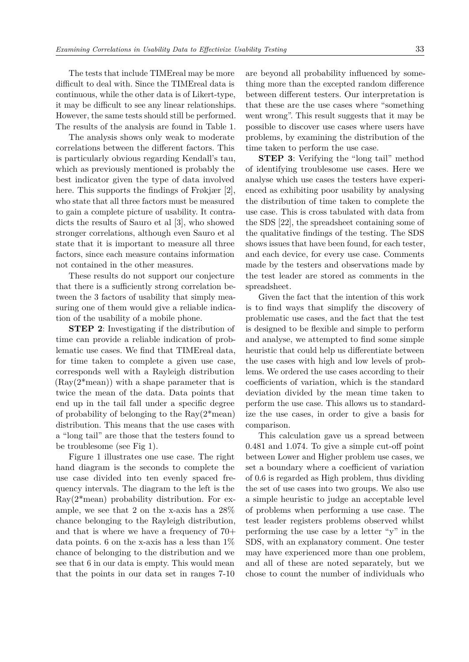The tests that include TIMEreal may be more difficult to deal with. Since the TIMEreal data is continuous, while the other data is of Likert-type, it may be difficult to see any linear relationships. However, the same tests should still be performed. The results of the analysis are found in Table 1.

The analysis shows only weak to moderate correlations between the different factors. This is particularly obvious regarding Kendall's tau, which as previously mentioned is probably the best indicator given the type of data involved here. This supports the findings of Frøkjær [\[2\]](#page-11-1), who state that all three factors must be measured to gain a complete picture of usability. It contradicts the results of Sauro et al [\[3\]](#page-11-2), who showed stronger correlations, although even Sauro et al state that it is important to measure all three factors, since each measure contains information not contained in the other measures.

These results do not support our conjecture that there is a sufficiently strong correlation between the 3 factors of usability that simply measuring one of them would give a reliable indication of the usability of a mobile phone.

**STEP 2**: Investigating if the distribution of time can provide a reliable indication of problematic use cases. We find that TIMEreal data, for time taken to complete a given use case, corresponds well with a Rayleigh distribution (Ray(2\*mean)) with a shape parameter that is twice the mean of the data. Data points that end up in the tail fall under a specific degree of probability of belonging to the  $\text{Ray}(2^*\text{mean})$ distribution. This means that the use cases with a "long tail" are those that the testers found to be troublesome (see Fig 1).

Figure 1 illustrates one use case. The right hand diagram is the seconds to complete the use case divided into ten evenly spaced frequency intervals. The diagram to the left is the Ray(2\*mean) probability distribution. For example, we see that 2 on the x-axis has a 28% chance belonging to the Rayleigh distribution, and that is where we have a frequency of 70+ data points. 6 on the x-axis has a less than 1% chance of belonging to the distribution and we see that 6 in our data is empty. This would mean that the points in our data set in ranges 7-10

are beyond all probability influenced by something more than the excepted random difference between different testers. Our interpretation is that these are the use cases where "something went wrong". This result suggests that it may be possible to discover use cases where users have problems, by examining the distribution of the time taken to perform the use case.

**STEP 3**: Verifying the "long tail" method of identifying troublesome use cases. Here we analyse which use cases the testers have experienced as exhibiting poor usability by analysing the distribution of time taken to complete the use case. This is cross tabulated with data from the SDS [\[22\]](#page-12-19), the spreadsheet containing some of the qualitative findings of the testing. The SDS shows issues that have been found, for each tester, and each device, for every use case. Comments made by the testers and observations made by the test leader are stored as comments in the spreadsheet.

Given the fact that the intention of this work is to find ways that simplify the discovery of problematic use cases, and the fact that the test is designed to be flexible and simple to perform and analyse, we attempted to find some simple heuristic that could help us differentiate between the use cases with high and low levels of problems. We ordered the use cases according to their coefficients of variation, which is the standard deviation divided by the mean time taken to perform the use case. This allows us to standardize the use cases, in order to give a basis for comparison.

This calculation gave us a spread between 0.481 and 1.074. To give a simple cut-off point between Lower and Higher problem use cases, we set a boundary where a coefficient of variation of 0.6 is regarded as High problem, thus dividing the set of use cases into two groups. We also use a simple heuristic to judge an acceptable level of problems when performing a use case. The test leader registers problems observed whilst performing the use case by a letter "y" in the SDS, with an explanatory comment. One tester may have experienced more than one problem, and all of these are noted separately, but we chose to count the number of individuals who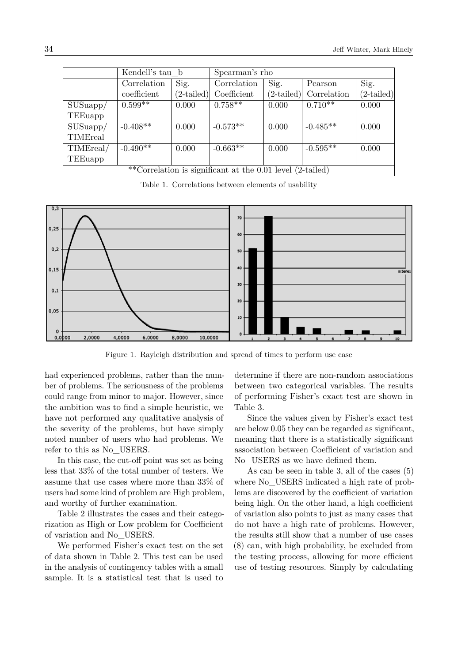|                                                           | Kendell's tau b          |                 | Spearman's rho |                 |             |              |  |  |
|-----------------------------------------------------------|--------------------------|-----------------|----------------|-----------------|-------------|--------------|--|--|
|                                                           | Correlation              | Sig.            | Correlation    | Sig.            | Pearson     | Sig.         |  |  |
|                                                           | coefficient              | $(2\tt-tailed)$ | Coefficient    | $(2\tt-tailed)$ | Correlation | $(2-tailed)$ |  |  |
| SUSuapp/                                                  | $0.599**$                | 0.000           | $0.758**$      | 0.000           | $0.710**$   | 0.000        |  |  |
| TEEuapp                                                   |                          |                 |                |                 |             |              |  |  |
| SUSuapp/                                                  | $-0.408^{\overline{**}}$ | 0.000           | $-0.573**$     | 0.000           | $-0.485**$  | 0.000        |  |  |
| TIMEreal                                                  |                          |                 |                |                 |             |              |  |  |
| TIMEreal/                                                 | $-0.490**$               | 0.000           | $-0.663**$     | 0.000           | $-0.595**$  | 0.000        |  |  |
| TEEuapp                                                   |                          |                 |                |                 |             |              |  |  |
| **Correlation is significant at the 0.01 level (2-tailed) |                          |                 |                |                 |             |              |  |  |

\*\*Correlation is significant at the 0.01 level (2-tailed)

Table 1. Correlations between elements of usability



Figure 1. Rayleigh distribution and spread of times to perform use case

had experienced problems, rather than the number of problems. The seriousness of the problems could range from minor to major. However, since the ambition was to find a simple heuristic, we have not performed any qualitative analysis of the severity of the problems, but have simply noted number of users who had problems. We refer to this as No\_USERS.

In this case, the cut-off point was set as being less that 33% of the total number of testers. We assume that use cases where more than 33% of users had some kind of problem are High problem, and worthy of further examination.

Table 2 illustrates the cases and their categorization as High or Low problem for Coefficient of variation and No\_USERS.

We performed Fisher's exact test on the set of data shown in Table 2. This test can be used in the analysis of contingency tables with a small sample. It is a statistical test that is used to

determine if there are non-random associations between two categorical variables. The results of performing Fisher's exact test are shown in Table 3.

Since the values given by Fisher's exact test are below 0.05 they can be regarded as significant, meaning that there is a statistically significant association between Coefficient of variation and No\_USERS as we have defined them.

As can be seen in table 3, all of the cases (5) where No USERS indicated a high rate of problems are discovered by the coefficient of variation being high. On the other hand, a high coefficient of variation also points to just as many cases that do not have a high rate of problems. However, the results still show that a number of use cases (8) can, with high probability, be excluded from the testing process, allowing for more efficient use of testing resources. Simply by calculating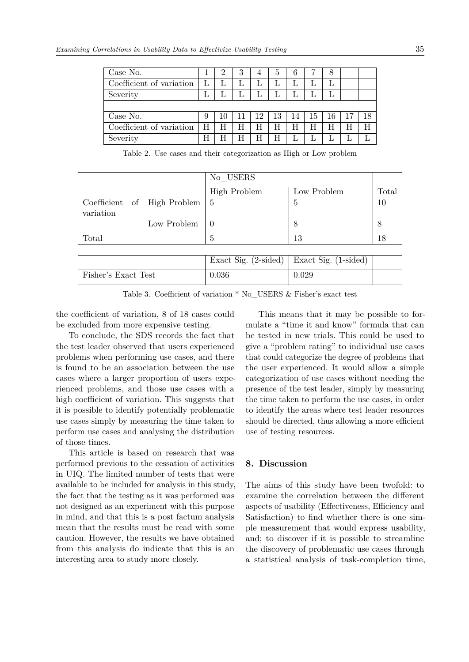| Case No.                 |   | $\mathcal{D}$ | 3 | 4  | 5  | 6  |    | 8  |   |  |
|--------------------------|---|---------------|---|----|----|----|----|----|---|--|
| Coefficient of variation | L |               | L |    | L  |    |    |    |   |  |
| Severity                 |   |               |   |    |    |    |    |    |   |  |
|                          |   |               |   |    |    |    |    |    |   |  |
| Case No.                 | 9 |               |   | 12 | 13 | 14 | 15 | 16 |   |  |
| Coefficient of variation | H |               | H | Н  | H  | Н  | Н  | Н  | Н |  |
| Severity                 | Н |               | H | Н  | Η  |    |    |    |   |  |

Table 2. Use cases and their categorization as High or Low problem

|                                          |             | No USERS                      |                      |       |  |
|------------------------------------------|-------------|-------------------------------|----------------------|-------|--|
|                                          |             | <b>High Problem</b>           | Low Problem          | Total |  |
| Coefficient of High Problem<br>variation |             | $-5$                          | 5                    | 10    |  |
|                                          | Low Problem | - ()                          | 8                    | 8     |  |
| Total                                    |             | 5                             | 13                   | 18    |  |
|                                          |             |                               |                      |       |  |
|                                          |             | Exact Sig. $(2\text{-sided})$ | Exact Sig. (1-sided) |       |  |
| Fisher's Exact Test                      |             | 0.036                         | 0.029                |       |  |

Table 3. Coefficient of variation \* No\_USERS & Fisher's exact test

the coefficient of variation, 8 of 18 cases could be excluded from more expensive testing.

To conclude, the SDS records the fact that the test leader observed that users experienced problems when performing use cases, and there is found to be an association between the use cases where a larger proportion of users experienced problems, and those use cases with a high coefficient of variation. This suggests that it is possible to identify potentially problematic use cases simply by measuring the time taken to perform use cases and analysing the distribution of those times.

This article is based on research that was performed previous to the cessation of activities in UIQ. The limited number of tests that were available to be included for analysis in this study, the fact that the testing as it was performed was not designed as an experiment with this purpose in mind, and that this is a post factum analysis mean that the results must be read with some caution. However, the results we have obtained from this analysis do indicate that this is an interesting area to study more closely.

This means that it may be possible to formulate a "time it and know" formula that can be tested in new trials. This could be used to give a "problem rating" to individual use cases that could categorize the degree of problems that the user experienced. It would allow a simple categorization of use cases without needing the presence of the test leader, simply by measuring the time taken to perform the use cases, in order to identify the areas where test leader resources should be directed, thus allowing a more efficient use of testing resources.

## **8. Discussion**

The aims of this study have been twofold: to examine the correlation between the different aspects of usability (Effectiveness, Efficiency and Satisfaction) to find whether there is one simple measurement that would express usability, and; to discover if it is possible to streamline the discovery of problematic use cases through a statistical analysis of task-completion time,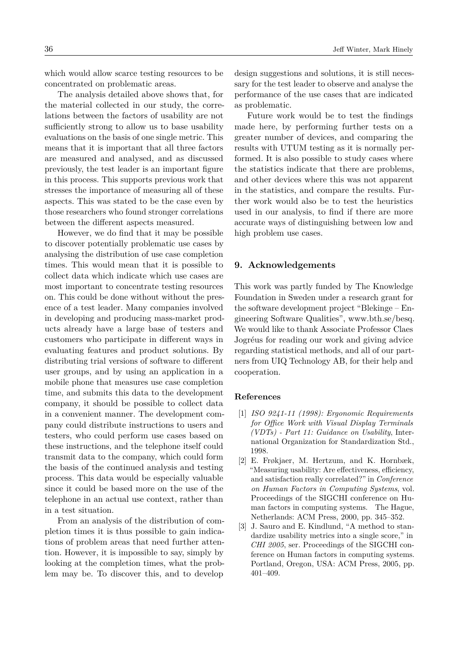which would allow scarce testing resources to be concentrated on problematic areas.

The analysis detailed above shows that, for the material collected in our study, the correlations between the factors of usability are not sufficiently strong to allow us to base usability evaluations on the basis of one single metric. This means that it is important that all three factors are measured and analysed, and as discussed previously, the test leader is an important figure in this process. This supports previous work that stresses the importance of measuring all of these aspects. This was stated to be the case even by those researchers who found stronger correlations between the different aspects measured.

However, we do find that it may be possible to discover potentially problematic use cases by analysing the distribution of use case completion times. This would mean that it is possible to collect data which indicate which use cases are most important to concentrate testing resources on. This could be done without without the presence of a test leader. Many companies involved in developing and producing mass-market products already have a large base of testers and customers who participate in different ways in evaluating features and product solutions. By distributing trial versions of software to different user groups, and by using an application in a mobile phone that measures use case completion time, and submits this data to the development company, it should be possible to collect data in a convenient manner. The development company could distribute instructions to users and testers, who could perform use cases based on these instructions, and the telephone itself could transmit data to the company, which could form the basis of the continued analysis and testing process. This data would be especially valuable since it could be based more on the use of the telephone in an actual use context, rather than in a test situation.

From an analysis of the distribution of completion times it is thus possible to gain indications of problem areas that need further attention. However, it is impossible to say, simply by looking at the completion times, what the problem may be. To discover this, and to develop

design suggestions and solutions, it is still necessary for the test leader to observe and analyse the performance of the use cases that are indicated as problematic.

Future work would be to test the findings made here, by performing further tests on a greater number of devices, and comparing the results with UTUM testing as it is normally performed. It is also possible to study cases where the statistics indicate that there are problems, and other devices where this was not apparent in the statistics, and compare the results. Further work would also be to test the heuristics used in our analysis, to find if there are more accurate ways of distinguishing between low and high problem use cases.

#### **9. Acknowledgements**

This work was partly funded by The Knowledge Foundation in Sweden under a research grant for the software development project "Blekinge – Engineering Software Qualities", [www.bth.se/besq.](http://www.bth.se/besq) We would like to thank Associate Professor Claes Jogréus for reading our work and giving advice regarding statistical methods, and all of our partners from UIQ Technology AB, for their help and cooperation.

#### **References**

- <span id="page-11-0"></span>[1] *ISO 9241-11 (1998): Ergonomic Requirements for Office Work with Visual Display Terminals (VDTs) - Part 11: Guidance on Usability*, International Organization for Standardization Std., 1998.
- <span id="page-11-1"></span>[2] E. Frøkjaer, M. Hertzum, and K. Hornbæk, "Measuring usability: Are effectiveness, efficiency, and satisfaction really correlated?" in *Conference on Human Factors in Computing Systems*, vol. Proceedings of the SIGCHI conference on Human factors in computing systems. The Hague, Netherlands: ACM Press, 2000, pp. 345–352.
- <span id="page-11-2"></span>[3] J. Sauro and E. Kindlund, "A method to standardize usability metrics into a single score," in *CHI 2005*, ser. Proceedings of the SIGCHI conference on Human factors in computing systems. Portland, Oregon, USA: ACM Press, 2005, pp. 401–409.